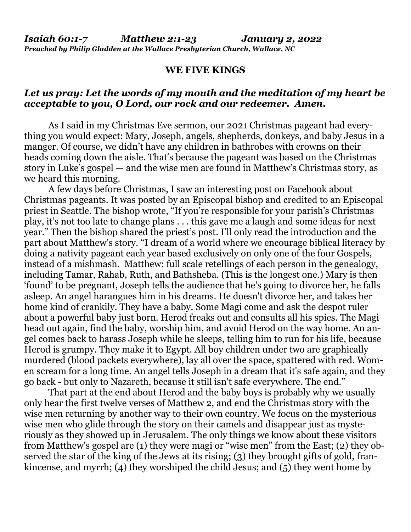## **WE FIVE KINGS**

## *Let us pray: Let the words of my mouth and the meditation of my heart be acceptable to you, O Lord, our rock and our redeemer. Amen.*

As I said in my Christmas Eve sermon, our 2021 Christmas pageant had everything you would expect: Mary, Joseph, angels, shepherds, donkeys, and baby Jesus in a manger. Of course, we didn't have any children in bathrobes with crowns on their heads coming down the aisle. That's because the pageant was based on the Christmas story in Luke's gospel — and the wise men are found in Matthew's Christmas story, as we heard this morning.

 A few days before Christmas, I saw an interesting post on Facebook about Christmas pageants. It was posted by an Episcopal bishop and credited to an Episcopal priest in Seattle. The bishop wrote, "If you're responsible for your parish's Christmas play, it's not too late to change plans . . . this gave me a laugh and some ideas for next year." Then the bishop shared the priest's post. I'll only read the introduction and the part about Matthew's story. "I dream of a world where we encourage biblical literacy by doing a nativity pageant each year based exclusively on only one of the four Gospels, instead of a mishmash. Matthew: full scale retellings of each person in the genealogy, including Tamar, Rahab, Ruth, and Bathsheba. (This is the longest one.) Mary is then 'found' to be pregnant, Joseph tells the audience that he's going to divorce her, he falls asleep. An angel harangues him in his dreams. He doesn't divorce her, and takes her home kind of crankily. They have a baby. Some Magi come and ask the despot ruler about a powerful baby just born. Herod freaks out and consults all his spies. The Magi head out again, find the baby, worship him, and avoid Herod on the way home. An angel comes back to harass Joseph while he sleeps, telling him to run for his life, because Herod is grumpy. They make it to Egypt. All boy children under two are graphically murdered (blood packets everywhere), lay all over the space, spattered with red. Women scream for a long time. An angel tells Joseph in a dream that it's safe again, and they go back - but only to Nazareth, because it still isn't safe everywhere. The end."

 That part at the end about Herod and the baby boys is probably why we usually only hear the first twelve verses of Matthew 2, and end the Christmas story with the wise men returning by another way to their own country. We focus on the mysterious wise men who glide through the story on their camels and disappear just as mysteriously as they showed up in Jerusalem. The only things we know about these visitors from Matthew's gospel are (1) they were magi or "wise men" from the East; (2) they observed the star of the king of the Jews at its rising; (3) they brought gifts of gold, frankincense, and myrrh; (4) they worshiped the child Jesus; and  $(5)$  they went home by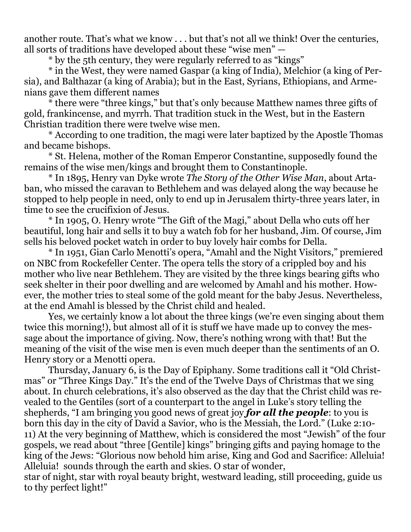another route. That's what we know . . . but that's not all we think! Over the centuries, all sorts of traditions have developed about these "wise men" —

\* by the 5th century, they were regularly referred to as "kings"

 \* in the West, they were named Gaspar (a king of India), Melchior (a king of Persia), and Balthazar (a king of Arabia); but in the East, Syrians, Ethiopians, and Armenians gave them different names

 \* there were "three kings," but that's only because Matthew names three gifts of gold, frankincense, and myrrh. That tradition stuck in the West, but in the Eastern Christian tradition there were twelve wise men.

 \* According to one tradition, the magi were later baptized by the Apostle Thomas and became bishops.

 \* St. Helena, mother of the Roman Emperor Constantine, supposedly found the remains of the wise men/kings and brought them to Constantinople.

 \* In 1895, Henry van Dyke wrote *The Story of the Other Wise Man*, about Artaban, who missed the caravan to Bethlehem and was delayed along the way because he stopped to help people in need, only to end up in Jerusalem thirty-three years later, in time to see the crucifixion of Jesus.

 \* In 1905, O. Henry wrote "The Gift of the Magi," about Della who cuts off her beautiful, long hair and sells it to buy a watch fob for her husband, Jim. Of course, Jim sells his beloved pocket watch in order to buy lovely hair combs for Della.

 \* In 1951, Gian Carlo Menotti's opera, "Amahl and the Night Visitors," premiered on NBC from Rockefeller Center. The opera tells the story of a crippled boy and his mother who live near Bethlehem. They are visited by the three kings bearing gifts who seek shelter in their poor dwelling and are welcomed by Amahl and his mother. However, the mother tries to steal some of the gold meant for the baby Jesus. Nevertheless, at the end Amahl is blessed by the Christ child and healed.

 Yes, we certainly know a lot about the three kings (we're even singing about them twice this morning!), but almost all of it is stuff we have made up to convey the message about the importance of giving. Now, there's nothing wrong with that! But the meaning of the visit of the wise men is even much deeper than the sentiments of an O. Henry story or a Menotti opera.

 Thursday, January 6, is the Day of Epiphany. Some traditions call it "Old Christmas" or "Three Kings Day." It's the end of the Twelve Days of Christmas that we sing about. In church celebrations, it's also observed as the day that the Christ child was revealed to the Gentiles (sort of a counterpart to the angel in Luke's story telling the shepherds, "I am bringing you good news of great joy *for all the people*: to you is born this day in the city of David a Savior, who is the Messiah, the Lord." (Luke 2:10- 11) At the very beginning of Matthew, which is considered the most "Jewish" of the four gospels, we read about "three [Gentile] kings" bringing gifts and paying homage to the king of the Jews: "Glorious now behold him arise, King and God and Sacrifice: Alleluia! Alleluia! sounds through the earth and skies. O star of wonder, star of night, star with royal beauty bright, westward leading, still proceeding, guide us

to thy perfect light!"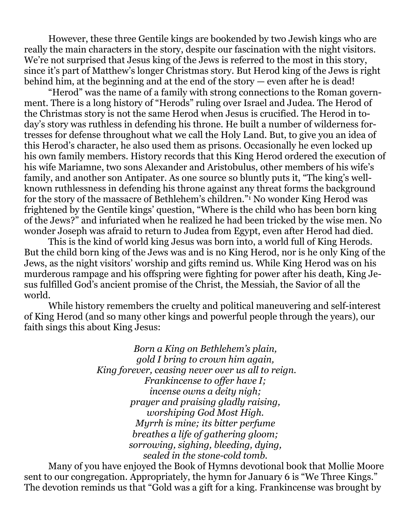However, these three Gentile kings are bookended by two Jewish kings who are really the main characters in the story, despite our fascination with the night visitors. We're not surprised that Jesus king of the Jews is referred to the most in this story, since it's part of Matthew's longer Christmas story. But Herod king of the Jews is right behind him, at the beginning and at the end of the story — even after he is dead!

 "Herod" was the name of a family with strong connections to the Roman government. There is a long history of "Herods" ruling over Israel and Judea. The Herod of the Christmas story is not the same Herod when Jesus is crucified. The Herod in today's story was ruthless in defending his throne. He built a number of wilderness fortresses for defense throughout what we call the Holy Land. But, to give you an idea of this Herod's character, he also used them as prisons. Occasionally he even locked up his own family members. History records that this King Herod ordered the execution of his wife Mariamne, two sons Alexander and Aristobulus, other members of his wife's family, and another son Antipater. As one source so bluntly puts it, "The king's wellknown ruthlessness in defending his throne against any threat forms the background for the story of the massacre of Bethlehem's children."<sup>1</sup> No wonder King Herod was frightened by the Gentile kings' question, "Where is the child who has been born king of the Jews?" and infuriated when he realized he had been tricked by the wise men. No wonder Joseph was afraid to return to Judea from Egypt, even after Herod had died.

 This is the kind of world king Jesus was born into, a world full of King Herods. But the child born king of the Jews was and is no King Herod, nor is he only King of the Jews, as the night visitors' worship and gifts remind us. While King Herod was on his murderous rampage and his offspring were fighting for power after his death, King Jesus fulfilled God's ancient promise of the Christ, the Messiah, the Savior of all the world.

 While history remembers the cruelty and political maneuvering and self-interest of King Herod (and so many other kings and powerful people through the years), our faith sings this about King Jesus:

> *Born a King on Bethlehem's plain, gold I bring to crown him again, King forever, ceasing never over us all to reign. Frankincense to offer have I; incense owns a deity nigh; prayer and praising gladly raising, worshiping God Most High. Myrrh is mine; its bitter perfume breathes a life of gathering gloom; sorrowing, sighing, bleeding, dying, sealed in the stone-cold tomb.*

Many of you have enjoyed the Book of Hymns devotional book that Mollie Moore sent to our congregation. Appropriately, the hymn for January 6 is "We Three Kings." The devotion reminds us that "Gold was a gift for a king. Frankincense was brought by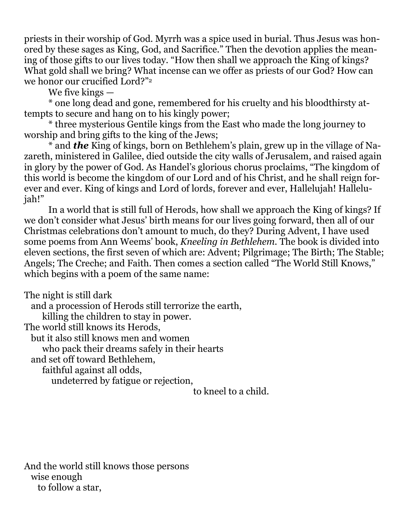priests in their worship of God. Myrrh was a spice used in burial. Thus Jesus was honored by these sages as King, God, and Sacrifice." Then the devotion applies the meaning of those gifts to our lives today. "How then shall we approach the King of kings? What gold shall we bring? What incense can we offer as priests of our God? How can we honor our crucified Lord?"<sup>2</sup>

We five kings —

 \* one long dead and gone, remembered for his cruelty and his bloodthirsty attempts to secure and hang on to his kingly power;

 \* three mysterious Gentile kings from the East who made the long journey to worship and bring gifts to the king of the Jews;

 \* and *the* King of kings, born on Bethlehem's plain, grew up in the village of Nazareth, ministered in Galilee, died outside the city walls of Jerusalem, and raised again in glory by the power of God. As Handel's glorious chorus proclaims, "The kingdom of this world is become the kingdom of our Lord and of his Christ, and he shall reign forever and ever. King of kings and Lord of lords, forever and ever, Hallelujah! Hallelujah!"

 In a world that is still full of Herods, how shall we approach the King of kings? If we don't consider what Jesus' birth means for our lives going forward, then all of our Christmas celebrations don't amount to much, do they? During Advent, I have used some poems from Ann Weems' book, *Kneeling in Bethlehem.* The book is divided into eleven sections, the first seven of which are: Advent; Pilgrimage; The Birth; The Stable; Angels; The Creche; and Faith. Then comes a section called "The World Still Knows," which begins with a poem of the same name:

The night is still dark

and a procession of Herods still terrorize the earth,

killing the children to stay in power.

The world still knows its Herods,

but it also still knows men and women

who pack their dreams safely in their hearts

and set off toward Bethlehem,

faithful against all odds,

undeterred by fatigue or rejection,

to kneel to a child.

And the world still knows those persons wise enough to follow a star,